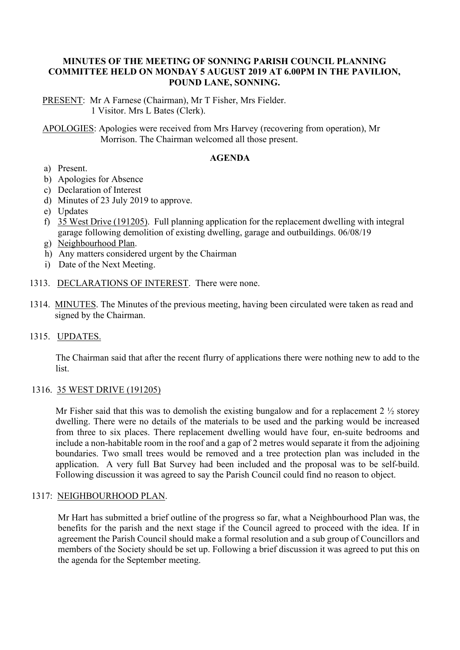## **MINUTES OF THE MEETING OF SONNING PARISH COUNCIL PLANNING COMMITTEE HELD ON MONDAY 5 AUGUST 2019 AT 6.00PM IN THE PAVILION, POUND LANE, SONNING.**

PRESENT: Mr A Farnese (Chairman), Mr T Fisher, Mrs Fielder. 1 Visitor. Mrs L Bates (Clerk).

APOLOGIES: Apologies were received from Mrs Harvey (recovering from operation), Mr Morrison. The Chairman welcomed all those present.

#### **AGENDA**

- a) Present.
- b) Apologies for Absence
- c) Declaration of Interest
- d) Minutes of 23 July 2019 to approve.
- e) Updates
- f) 35 West Drive (191205). Full planning application for the replacement dwelling with integral garage following demolition of existing dwelling, garage and outbuildings. 06/08/19
- g) Neighbourhood Plan.
- h) Any matters considered urgent by the Chairman
- i) Date of the Next Meeting.
- 1313. DECLARATIONS OF INTEREST. There were none.
- 1314. MINUTES. The Minutes of the previous meeting, having been circulated were taken as read and signed by the Chairman.
- 1315. UPDATES.

The Chairman said that after the recent flurry of applications there were nothing new to add to the list.

### 1316. 35 WEST DRIVE (191205)

Mr Fisher said that this was to demolish the existing bungalow and for a replacement  $2\frac{1}{2}$  storey dwelling. There were no details of the materials to be used and the parking would be increased from three to six places. There replacement dwelling would have four, en-suite bedrooms and include a non-habitable room in the roof and a gap of 2 metres would separate it from the adjoining boundaries. Two small trees would be removed and a tree protection plan was included in the application. A very full Bat Survey had been included and the proposal was to be self-build. Following discussion it was agreed to say the Parish Council could find no reason to object.

### 1317: NEIGHBOURHOOD PLAN.

Mr Hart has submitted a brief outline of the progress so far, what a Neighbourhood Plan was, the benefits for the parish and the next stage if the Council agreed to proceed with the idea. If in agreement the Parish Council should make a formal resolution and a sub group of Councillors and members of the Society should be set up. Following a brief discussion it was agreed to put this on the agenda for the September meeting.